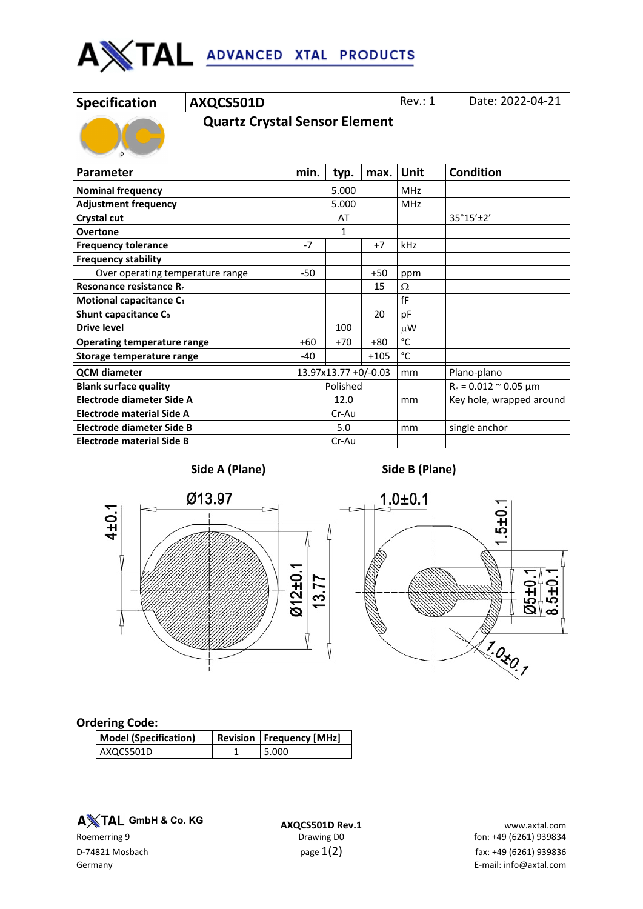

# **Specification AXQCS501D** Rev.: 1 Date: 2022-04-21

 **Quartz Crystal Sensor Element**

| <b>Parameter</b>                    |                      | typ.  | max.       | Unit                            | <b>Condition</b> |
|-------------------------------------|----------------------|-------|------------|---------------------------------|------------------|
| <b>Nominal frequency</b>            | 5.000                |       | <b>MHz</b> |                                 |                  |
| <b>Adjustment frequency</b>         | 5.000                |       | MHz        |                                 |                  |
| Crystal cut                         | AT                   |       |            | 35°15'±2'                       |                  |
| <b>Overtone</b>                     | $\mathbf{1}$         |       |            |                                 |                  |
| <b>Frequency tolerance</b>          | $-7$                 |       | $+7$       | kHz                             |                  |
| <b>Frequency stability</b>          |                      |       |            |                                 |                  |
| Over operating temperature range    | $-50$                |       | $+50$      | ppm                             |                  |
| Resonance resistance R <sub>r</sub> |                      |       | 15         | Ω                               |                  |
| Motional capacitance C1             |                      |       |            | fF                              |                  |
| Shunt capacitance Co                |                      |       | 20         | pF                              |                  |
| <b>Drive level</b>                  |                      | 100   |            | μW                              |                  |
| <b>Operating temperature range</b>  |                      | $+70$ | $+80$      | °C                              |                  |
| Storage temperature range           |                      |       | $+105$     | °C                              |                  |
| <b>QCM diameter</b>                 | 13.97x13.77 +0/-0.03 |       | mm         | Plano-plano                     |                  |
| <b>Blank surface quality</b>        | Polished             |       |            | $R_a = 0.012$ $\approx$ 0.05 µm |                  |
| Electrode diameter Side A           | 12.0                 |       | mm         | Key hole, wrapped around        |                  |
| <b>Electrode material Side A</b>    | Cr-Au                |       |            |                                 |                  |
| Electrode diameter Side B           | 5.0                  |       | mm         | single anchor                   |                  |
| <b>Electrode material Side B</b>    | Cr-Au                |       |            |                                 |                  |



**Side A (Plane) Side B (Plane)**



## **Ordering Code:**

| <b>Model (Specification)</b> | <b>Revision   Frequency [MHz]</b> |
|------------------------------|-----------------------------------|
| AXQCS501D                    | 5.000                             |

**A** $X$ TAL GmbH & Co. KG

**A TAL GmbH & Co. KG**<br>**AXQCS501D Rev.1** www.axtal.com braving D0 Drawing D0 fon: +49 (6261) 939834 fon: +49 (6261) 939834 D-74821 Mosbach  $p$ age  $1(2)$   $p$ age  $1(2)$  fax: +49 (6261) 939836 Germany E-mail: info@axtal.com